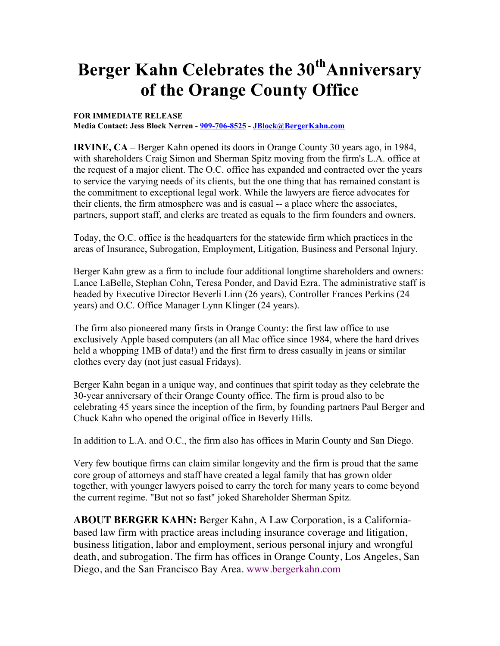## **Berger Kahn Celebrates the 30<sup>th</sup>Anniversary of the Orange County Office**

## **FOR IMMEDIATE RELEASE**

**Media Contact: Jess Block Nerren - 909-706-8525 - JBlock@BergerKahn.com**

**IRVINE, CA –** Berger Kahn opened its doors in Orange County 30 years ago, in 1984, with shareholders Craig Simon and Sherman Spitz moving from the firm's L.A. office at the request of a major client. The O.C. office has expanded and contracted over the years to service the varying needs of its clients, but the one thing that has remained constant is the commitment to exceptional legal work. While the lawyers are fierce advocates for their clients, the firm atmosphere was and is casual -- a place where the associates, partners, support staff, and clerks are treated as equals to the firm founders and owners.

Today, the O.C. office is the headquarters for the statewide firm which practices in the areas of Insurance, Subrogation, Employment, Litigation, Business and Personal Injury.

Berger Kahn grew as a firm to include four additional longtime shareholders and owners: Lance LaBelle, Stephan Cohn, Teresa Ponder, and David Ezra. The administrative staff is headed by Executive Director Beverli Linn (26 years), Controller Frances Perkins (24 years) and O.C. Office Manager Lynn Klinger (24 years).

The firm also pioneered many firsts in Orange County: the first law office to use exclusively Apple based computers (an all Mac office since 1984, where the hard drives held a whopping 1MB of data!) and the first firm to dress casually in jeans or similar clothes every day (not just casual Fridays).

Berger Kahn began in a unique way, and continues that spirit today as they celebrate the 30-year anniversary of their Orange County office. The firm is proud also to be celebrating 45 years since the inception of the firm, by founding partners Paul Berger and Chuck Kahn who opened the original office in Beverly Hills.

In addition to L.A. and O.C., the firm also has offices in Marin County and San Diego.

Very few boutique firms can claim similar longevity and the firm is proud that the same core group of attorneys and staff have created a legal family that has grown older together, with younger lawyers poised to carry the torch for many years to come beyond the current regime. "But not so fast" joked Shareholder Sherman Spitz.

**ABOUT BERGER KAHN:** Berger Kahn, A Law Corporation, is a Californiabased law firm with practice areas including insurance coverage and litigation, business litigation, labor and employment, serious personal injury and wrongful death, and subrogation. The firm has offices in Orange County, Los Angeles, San Diego, and the San Francisco Bay Area. www.bergerkahn.com